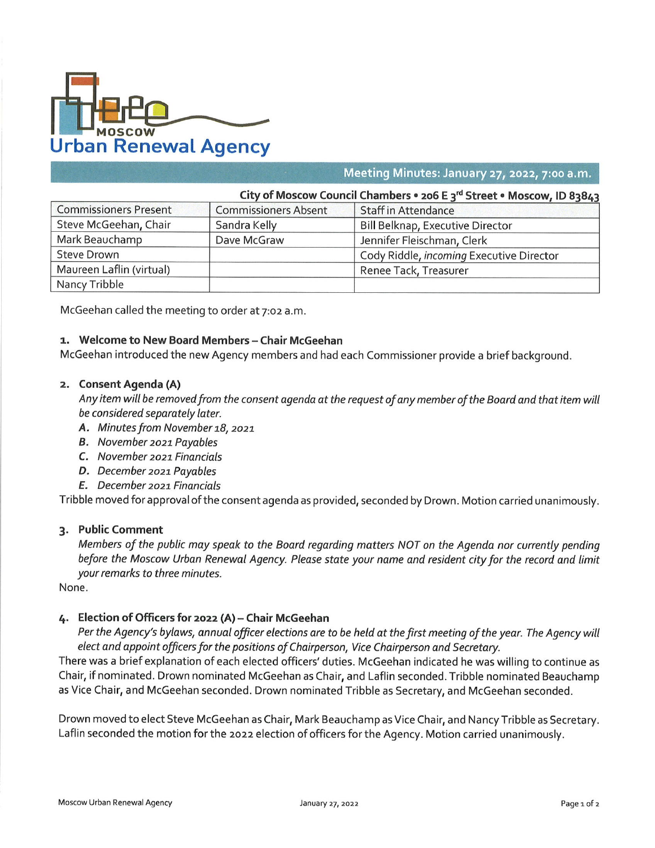

#### **■■■■■■■ Meeting Minutes: January 27, 2022, 7:00 a.m.**

| City of Moscow Council Chambers • 206 E 3 <sup>rd</sup> Street • Moscow, ID 83843 |                             |                                          |
|-----------------------------------------------------------------------------------|-----------------------------|------------------------------------------|
| <b>Commissioners Present</b>                                                      | <b>Commissioners Absent</b> | <b>Staff in Attendance</b>               |
| Steve McGeehan, Chair                                                             | Sandra Kelly                | <b>Bill Belknap, Executive Director</b>  |
| Mark Beauchamp                                                                    | Dave McGraw                 | Jennifer Fleischman, Clerk               |
| <b>Steve Drown</b>                                                                |                             | Cody Riddle, incoming Executive Director |
| Maureen Laflin (virtual)                                                          |                             | Renee Tack, Treasurer                    |
| Nancy Tribble                                                                     |                             |                                          |

McGeehan called the meeting to order at 7:02 a.m.

#### **1. Welcome to New Board Members - Chair McGeehan**

**\_\_**\_\_\_\_\_\_\_\_\_\_\_\_

McGeehan introduced the new Agency members and had each Commissioner provide a brief background.

#### **2. Consent Agenda (A)**

Any item will be removed from the consent agenda at the request of any member of the Board and that item will *be considered separately later.*

- *A. Minutes from November 18, 2021*
- *B. November 2021 Payables*
- *C. November 2021 Financials*
- *D. December 2021 Payables*
- *E. December 2021 Financials*

Tribble moved for approval of the consent agenda as provided, seconded by Drown. Motion carried unanimously.

# **3. Public Comment**

Members of the public may speak to the Board regarding matters NOT on the Agenda nor currently pending before the Moscow Urban Renewal Agency. Please state your name and resident city for the record and limit *your remarks to three minutes.*

None.

## **4. Election of Officers for 2022 (A) - Chair McGeehan**

Per the Agency's bylaws, annual officer elections are to be held at the first meeting of the year. The Agency will *elect and appoint officers for the positions of Chairperson, Vice Chairperson and Secretary.*

There was a brief explanation of each elected officers' duties. McGeehan indicated he was willing to continue as Chair, if nominated. Drown nominated McGeehan as Chair, and Laflin seconded. Tribble nominated Beauchamp as Vice Chair, and McGeehan seconded. Drown nominated Tribble as Secretary, and McGeehan seconded.

Drown moved to elect Steve McGeehan as Chair, Mark Beauchamp as Vice Chair, and Nancy Tribble as Secretary. Laflin seconded the motion for the 2022 election of officers for the Agency. Motion carried unanimously.